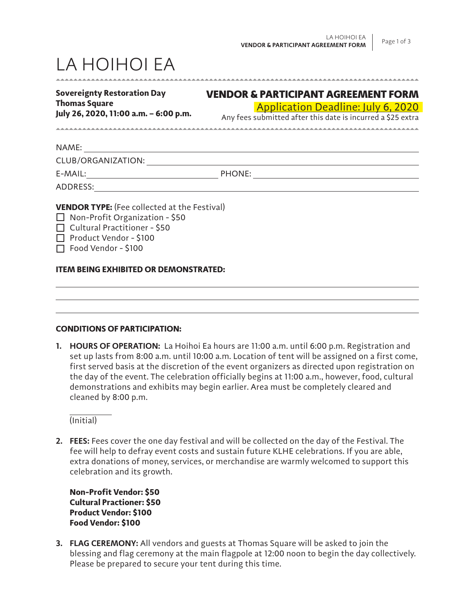# LA HOIHOI EA

| <b>Sovereignty Restoration Day</b>    | V |
|---------------------------------------|---|
| <b>Thomas Square</b>                  |   |
| July 26, 2020, 11:00 a.m. - 6:00 p.m. |   |

# VENDOR & PARTICIPANT AGREEMENT FORM

## Application Deadline: July 6, 2020

Any fees submitted after this date is incurred a \$25 extra

NAME:

CLUB/ORGANIZATION:

E-MAIL: PHONE:

ADDRESS:

**VENDOR TYPE:** (Fee collected at the Festival)

 $\Box$  Non-Profit Organization - \$50

 $\Box$  Cultural Practitioner - \$50

Product Vendor - \$100

Food Vendor - \$100

## **ITEM BEING EXHIBITED OR DEMONSTRATED:**

### **CONDITIONS OF PARTICIPATION:**

**1. HOURS OF OPERATION:** La Hoihoi Ea hours are 11:00 a.m. until 6:00 p.m. Registration and set up lasts from 8:00 a.m. until 10:00 a.m. Location of tent will be assigned on a first come, first served basis at the discretion of the event organizers as directed upon registration on the day of the event. The celebration officially begins at 11:00 a.m., however, food, cultural demonstrations and exhibits may begin earlier. Area must be completely cleared and cleaned by 8:00 p.m.

(Initial)

**2. FEES:** Fees cover the one day festival and will be collected on the day of the Festival. The fee will help to defray event costs and sustain future KLHE celebrations. If you are able, extra donations of money, services, or merchandise are warmly welcomed to support this celebration and its growth.

**Non-Profit Vendor: \$50 Cultural Practioner: \$50 Product Vendor: \$100 Food Vendor: \$100**

**3. FLAG CEREMONY:** All vendors and guests at Thomas Square will be asked to join the blessing and flag ceremony at the main flagpole at 12:00 noon to begin the day collectively. Please be prepared to secure your tent during this time.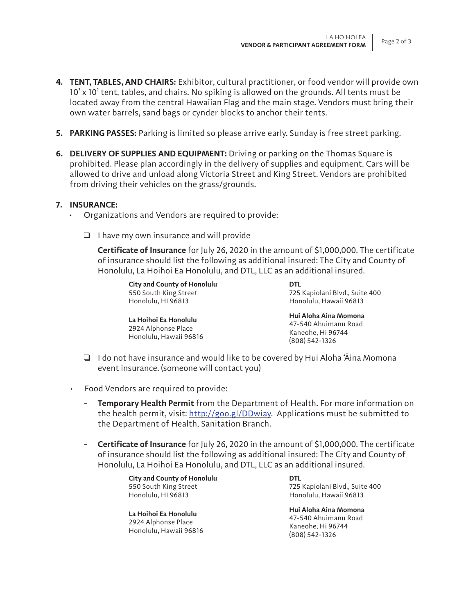- **4. TENT, TABLES, AND CHAIRS:** Exhibitor, cultural practitioner, or food vendor will provide own 10' x 10' tent, tables, and chairs. No spiking is allowed on the grounds. All tents must be located away from the central Hawaiian Flag and the main stage. Vendors must bring their own water barrels, sand bags or cynder blocks to anchor their tents.
- **5. PARKING PASSES:** Parking is limited so please arrive early. Sunday is free street parking.
- **6. DELIVERY OF SUPPLIES AND EQUIPMENT:** Driving or parking on the Thomas Square is prohibited. Please plan accordingly in the delivery of supplies and equipment. Cars will be allowed to drive and unload along Victoria Street and King Street. Vendors are prohibited from driving their vehicles on the grass/grounds.

### **7. INSURANCE:**

- Organizations and Vendors are required to provide:
	- $\Box$  I have my own insurance and will provide

**Certificate of Insurance** for July 26, 2020 in the amount of \$1,000,000. The certificate of insurance should list the following as additional insured: The City and County of Honolulu, La Hoihoi Ea Honolulu, and DTL, LLC as an additional insured.

**City and County of Honolulu** 550 South King Street Honolulu, HI 96813

**La Hoihoi Ea Honolulu**  2924 Alphonse Place Honolulu, Hawaii 96816 **DTL** 725 Kapiolani Blvd., Suite 400 Honolulu, Hawaii 96813

**Hui Aloha Aina Momona** 47-540 Ahuimanu Road Kaneohe, Hi 96744 (808) 542-1326

- ❑ I do not have insurance and would like to be covered by Hui Aloha 'Āina Momona event insurance. (someone will contact you)
- Food Vendors are required to provide:
	- **Temporary Health Permit** from the Department of Health. For more information on the health permit, visit: http://goo.gl/DDwiay. Applications must be submitted to the Department of Health, Sanitation Branch.
	- **Certificate of Insurance** for July 26, 2020 in the amount of \$1,000,000. The certificate of insurance should list the following as additional insured: The City and County of Honolulu, La Hoihoi Ea Honolulu, and DTL, LLC as an additional insured.

**City and County of Honolulu** 550 South King Street Honolulu, HI 96813

**La Hoihoi Ea Honolulu**  2924 Alphonse Place Honolulu, Hawaii 96816

**DTL** 725 Kapiolani Blvd., Suite 400 Honolulu, Hawaii 96813

**Hui Aloha Aina Momona** 47-540 Ahuimanu Road Kaneohe, Hi 96744 (808) 542-1326